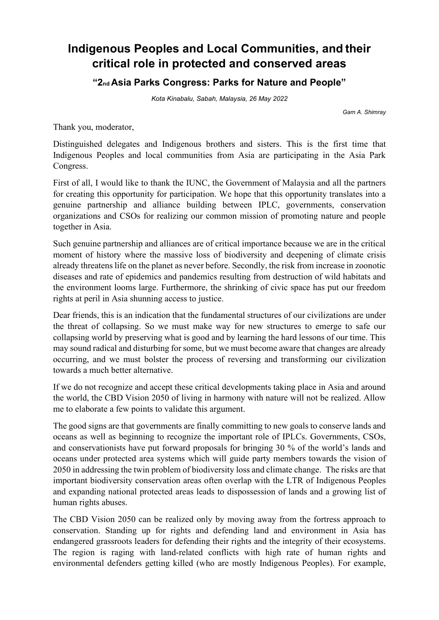## **Indigenous Peoples and Local Communities, and their critical role in protected and conserved areas**

**"2nd Asia Parks Congress: Parks for Nature and People"** 

*Kota Kinabalu, Sabah, Malaysia, 26 May 2022*

*Gam A. Shimray*

Thank you, moderator,

Distinguished delegates and Indigenous brothers and sisters. This is the first time that Indigenous Peoples and local communities from Asia are participating in the Asia Park Congress.

First of all, I would like to thank the IUNC, the Government of Malaysia and all the partners for creating this opportunity for participation. We hope that this opportunity translates into a genuine partnership and alliance building between IPLC, governments, conservation organizations and CSOs for realizing our common mission of promoting nature and people together in Asia.

Such genuine partnership and alliances are of critical importance because we are in the critical moment of history where the massive loss of biodiversity and deepening of climate crisis already threatens life on the planet as never before. Secondly, the risk from increase in zoonotic diseases and rate of epidemics and pandemics resulting from destruction of wild habitats and the environment looms large. Furthermore, the shrinking of civic space has put our freedom rights at peril in Asia shunning access to justice.

Dear friends, this is an indication that the fundamental structures of our civilizations are under the threat of collapsing. So we must make way for new structures to emerge to safe our collapsing world by preserving what is good and by learning the hard lessons of our time. This may sound radical and disturbing for some, but we must become aware that changes are already occurring, and we must bolster the process of reversing and transforming our civilization towards a much better alternative.

If we do not recognize and accept these critical developments taking place in Asia and around the world, the CBD Vision 2050 of living in harmony with nature will not be realized. Allow me to elaborate a few points to validate this argument.

The good signs are that governments are finally committing to new goals to conserve lands and oceans as well as beginning to recognize the important role of IPLCs. Governments, CSOs, and conservationists have put forward proposals for bringing 30 % of the world's lands and oceans under protected area systems which will guide party members towards the vision of 2050 in addressing the twin problem of biodiversity loss and climate change. The risks are that important biodiversity conservation areas often overlap with the LTR of Indigenous Peoples and expanding national protected areas leads to dispossession of lands and a growing list of human rights abuses.

The CBD Vision 2050 can be realized only by moving away from the fortress approach to conservation. Standing up for rights and defending land and environment in Asia has endangered grassroots leaders for defending their rights and the integrity of their ecosystems. The region is raging with land-related conflicts with high rate of human rights and environmental defenders getting killed (who are mostly Indigenous Peoples). For example,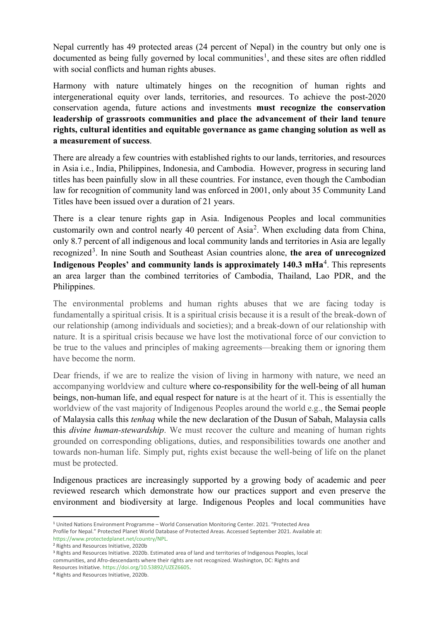Nepal currently has 49 protected areas (24 percent of Nepal) in the country but only one is documented as being fully governed by local communities<sup>[1](#page-1-0)</sup>, and these sites are often riddled with social conflicts and human rights abuses.

Harmony with nature ultimately hinges on the recognition of human rights and intergenerational equity over lands, territories, and resources. To achieve the post-2020 conservation agenda, future actions and investments **must recognize the conservation leadership of grassroots communities and place the advancement of their land tenure rights, cultural identities and equitable governance as game changing solution as well as a measurement of success**.

There are already a few countries with established rights to our lands, territories, and resources in Asia i.e., India, Philippines, Indonesia, and Cambodia. However, progress in securing land titles has been painfully slow in all these countries. For instance, even though the Cambodian law for recognition of community land was enforced in 2001, only about 35 Community Land Titles have been issued over a duration of 21 years.

There is a clear tenure rights gap in Asia. Indigenous Peoples and local communities customarily own and control nearly 40 percent of Asia<sup>[2](#page-1-1)</sup>. When excluding data from China, only 8.7 percent of all indigenous and local community lands and territories in Asia are legally recognized<sup>[3](#page-1-2)</sup>. In nine South and Southeast Asian countries alone, the area of unrecognized **Indigenous Peoples' and community lands is approximately 1[4](#page-1-3)0.3 mHa<sup>4</sup>. This represents** an area larger than the combined territories of Cambodia, Thailand, Lao PDR, and the Philippines.

The environmental problems and human rights abuses that we are facing today is fundamentally a spiritual crisis. It is a spiritual crisis because it is a result of the break-down of our relationship (among individuals and societies); and a break-down of our relationship with nature. It is a spiritual crisis because we have lost the motivational force of our conviction to be true to the values and principles of making agreements—breaking them or ignoring them have become the norm.

Dear friends, if we are to realize the vision of living in harmony with nature, we need an accompanying worldview and culture where co-responsibility for the well-being of all human beings, non-human life, and equal respect for nature is at the heart of it. This is essentially the worldview of the vast majority of Indigenous Peoples around the world e.g., the Semai people of Malaysia calls this *tenhaq* while the new declaration of the Dusun of Sabah, Malaysia calls this *divine human-stewardship*. We must recover the culture and meaning of human rights grounded on corresponding obligations, duties, and responsibilities towards one another and towards non-human life. Simply put, rights exist because the well-being of life on the planet must be protected.

Indigenous practices are increasingly supported by a growing body of academic and peer reviewed research which demonstrate how our practices support and even preserve the environment and biodiversity at large. Indigenous Peoples and local communities have

<span id="page-1-0"></span><sup>1</sup> United Nations Environment Programme – World Conservation Monitoring Center. 2021. "Protected Area Profile for Nepal." Protected Planet World Database of Protected Areas. Accessed September 2021. Available at:

https://www.protectedplanet.net/country/NPL.

<span id="page-1-1"></span><sup>2</sup> Rights and Resources Initiative, 2020b

<span id="page-1-2"></span><sup>3</sup> Rights and Resources Initiative. 2020b. Estimated area of land and territories of Indigenous Peoples, local communities, and Afro-descendants where their rights are not recognized. Washington, DC: Rights and Resources Initiative. https://doi.org/10.53892/UZEZ6605. 4 Rights and Resources Initiative, 2020b.

<span id="page-1-3"></span>